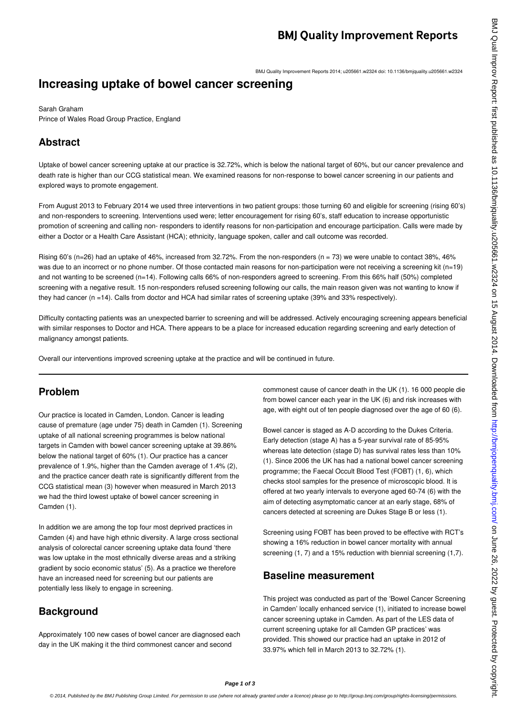BMJ Quality Improvement Reports 2014; u205661.w2324 doi: 10.1136/bmjquality.u205661.w2324

### **Increasing uptake of bowel cancer screening**

Sarah Graham Prince of Wales Road Group Practice, England

### **Abstract**

Uptake of bowel cancer screening uptake at our practice is 32.72%, which is below the national target of 60%, but our cancer prevalence and death rate is higher than our CCG statistical mean. We examined reasons for non-response to bowel cancer screening in our patients and explored ways to promote engagement.

From August 2013 to February 2014 we used three interventions in two patient groups: those turning 60 and eligible for screening (rising 60's) and non-responders to screening. Interventions used were; letter encouragement for rising 60's, staff education to increase opportunistic promotion of screening and calling non- responders to identify reasons for non-participation and encourage participation. Calls were made by either a Doctor or a Health Care Assistant (HCA); ethnicity, language spoken, caller and call outcome was recorded.

Rising 60's (n=26) had an uptake of 46%, increased from 32.72%. From the non-responders (n = 73) we were unable to contact 38%, 46% was due to an incorrect or no phone number. Of those contacted main reasons for non-participation were not receiving a screening kit (n=19) and not wanting to be screened (n=14). Following calls 66% of non-responders agreed to screening. From this 66% half (50%) completed screening with a negative result. 15 non-responders refused screening following our calls, the main reason given was not wanting to know if they had cancer (n =14). Calls from doctor and HCA had similar rates of screening uptake (39% and 33% respectively).

Difficulty contacting patients was an unexpected barrier to screening and will be addressed. Actively encouraging screening appears beneficial with similar responses to Doctor and HCA. There appears to be a place for increased education regarding screening and early detection of malignancy amongst patients.

Overall our interventions improved screening uptake at the practice and will be continued in future.

#### **Problem**

Our practice is located in Camden, London. Cancer is leading cause of premature (age under 75) death in Camden (1). Screening uptake of all national screening programmes is below national targets in Camden with bowel cancer screening uptake at 39.86% below the national target of 60% (1). Our practice has a cancer prevalence of 1.9%, higher than the Camden average of 1.4% (2), and the practice cancer death rate is significantly different from the CCG statistical mean (3) however when measured in March 2013 we had the third lowest uptake of bowel cancer screening in Camden (1).

In addition we are among the top four most deprived practices in Camden (4) and have high ethnic diversity. A large cross sectional analysis of colorectal cancer screening uptake data found 'there was low uptake in the most ethnically diverse areas and a striking gradient by socio economic status' (5). As a practice we therefore have an increased need for screening but our patients are potentially less likely to engage in screening.

# **Background**

Approximately 100 new cases of bowel cancer are diagnosed each day in the UK making it the third commonest cancer and second

commonest cause of cancer death in the UK (1). 16 000 people die from bowel cancer each year in the UK (6) and risk increases with age, with eight out of ten people diagnosed over the age of 60 (6).

Bowel cancer is staged as A-D according to the Dukes Criteria. Early detection (stage A) has a 5-year survival rate of 85-95% whereas late detection (stage D) has survival rates less than 10% (1). Since 2006 the UK has had a national bowel cancer screening programme; the Faecal Occult Blood Test (FOBT) (1, 6), which checks stool samples for the presence of microscopic blood. It is offered at two yearly intervals to everyone aged 60-74 (6) with the aim of detecting asymptomatic cancer at an early stage, 68% of cancers detected at screening are Dukes Stage B or less (1).

Screening using FOBT has been proved to be effective with RCT's showing a 16% reduction in bowel cancer mortality with annual screening (1, 7) and a 15% reduction with biennial screening (1,7).

#### **Baseline measurement**

This project was conducted as part of the 'Bowel Cancer Screening in Camden' locally enhanced service (1), initiated to increase bowel cancer screening uptake in Camden. As part of the LES data of current screening uptake for all Camden GP practices' was provided. This showed our practice had an uptake in 2012 of 33.97% which fell in March 2013 to 32.72% (1).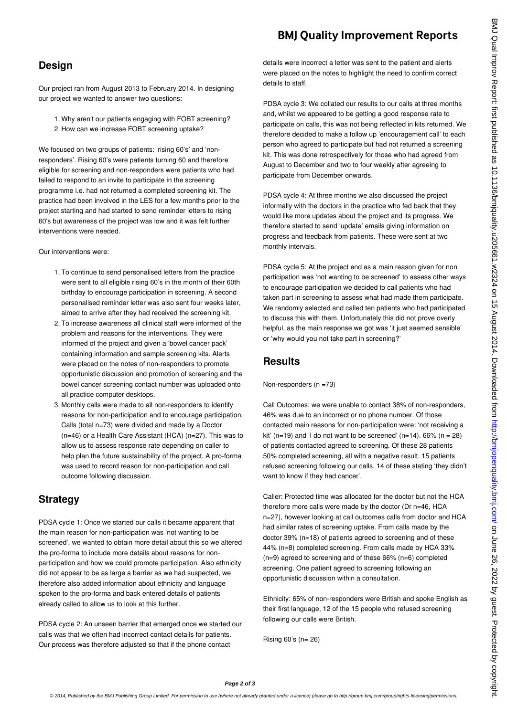# **BMJ Quality Improvement Reports**

#### **Design**

Our project ran from August 2013 to February 2014. In designing our project we wanted to answer two questions:

1. Why aren't our patients engaging with FOBT screening? 2. How can we increase FOBT screening uptake?

We focused on two groups of patients: 'rising 60's' and 'nonresponders'. Rising 60's were patients turning 60 and therefore eligible for screening and non-responders were patients who had failed to respond to an invite to participate in the screening programme i.e. had not returned a completed screening kit. The practice had been involved in the LES for a few months prior to the project starting and had started to send reminder letters to rising 60's but awareness of the project was low and it was felt further interventions were needed.

Our interventions were:

- 1. To continue to send personalised letters from the practice were sent to all eligible rising 60's in the month of their 60th birthday to encourage participation in screening. A second personalised reminder letter was also sent four weeks later, aimed to arrive after they had received the screening kit.
- 2. To increase awareness all clinical staff were informed of the problem and reasons for the interventions. They were informed of the project and given a 'bowel cancer pack' containing information and sample screening kits. Alerts were placed on the notes of non-responders to promote opportunistic discussion and promotion of screening and the bowel cancer screening contact number was uploaded onto all practice computer desktops.
- 3. Monthly calls were made to all non-responders to identify reasons for non-participation and to encourage participation. Calls (total n=73) were divided and made by a Doctor (n=46) or a Health Care Assistant (HCA) (n=27). This was to allow us to assess response rate depending on caller to help plan the future sustainability of the project. A pro-forma was used to record reason for non-participation and call outcome following discussion.

# **Strategy**

PDSA cycle 1: Once we started our calls it became apparent that the main reason for non-participation was 'not wanting to be screened', we wanted to obtain more detail about this so we altered the pro-forma to include more details about reasons for nonparticipation and how we could promote participation. Also ethnicity did not appear to be as large a barrier as we had suspected, we therefore also added information about ethnicity and language spoken to the pro-forma and back entered details of patients already called to allow us to look at this further.

PDSA cycle 2: An unseen barrier that emerged once we started our calls was that we often had incorrect contact details for patients. Our process was therefore adjusted so that if the phone contact

details were incorrect a letter was sent to the patient and alerts were placed on the notes to highlight the need to confirm correct details to staff.

PDSA cycle 3: We collated our results to our calls at three months and, whilst we appeared to be getting a good response rate to participate on calls, this was not being reflected in kits returned. We therefore decided to make a follow up 'encouragement call' to each person who agreed to participate but had not returned a screening kit. This was done retrospectively for those who had agreed from August to December and two to four weekly after agreeing to participate from December onwards.

PDSA cycle 4: At three months we also discussed the project informally with the doctors in the practice who fed back that they would like more updates about the project and its progress. We therefore started to send 'update' emails giving information on progress and feedback from patients. These were sent at two monthly intervals.

PDSA cycle 5: At the project end as a main reason given for non participation was 'not wanting to be screened' to assess other ways to encourage participation we decided to call patients who had taken part in screening to assess what had made them participate. We randomly selected and called ten patients who had participated to discuss this with them. Unfortunately this did not prove overly helpful, as the main response we got was 'it just seemed sensible' or 'why would you not take part in screening?'

#### **Results**

Non-responders (n =73)

Call Outcomes: we were unable to contact 38% of non-responders, 46% was due to an incorrect or no phone number. Of those contacted main reasons for non-participation were: 'not receiving a kit' (n=19) and 'I do not want to be screened' (n=14).  $66\%$  (n = 28) of patients contacted agreed to screening. Of these 28 patients 50% completed screening, all with a negative result. 15 patients refused screening following our calls, 14 of these stating 'they didn't want to know if they had cancer'.

Caller: Protected time was allocated for the doctor but not the HCA therefore more calls were made by the doctor (Dr n=46, HCA n=27), however looking at call outcomes calls from doctor and HCA had similar rates of screening uptake. From calls made by the doctor 39% (n=18) of patients agreed to screening and of these 44% (n=8) completed screening. From calls made by HCA 33% (n=9) agreed to screening and of these 66% (n=6) completed screening. One patient agreed to screening following an opportunistic discussion within a consultation.

Ethnicity: 65% of non-responders were British and spoke English as their first language, 12 of the 15 people who refused screening following our calls were British.

Rising 60's (n= 26)

**Page 2 of 3**